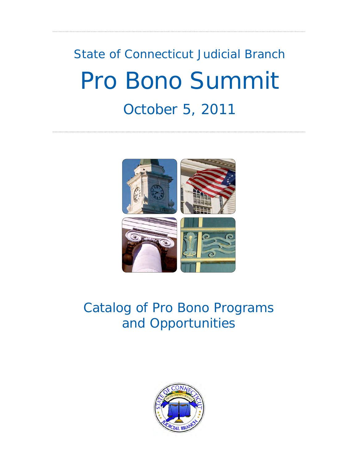# State of Connecticut Judicial Branch Pro Bono Summit October 5, 2011



# Catalog of Pro Bono Programs and Opportunities

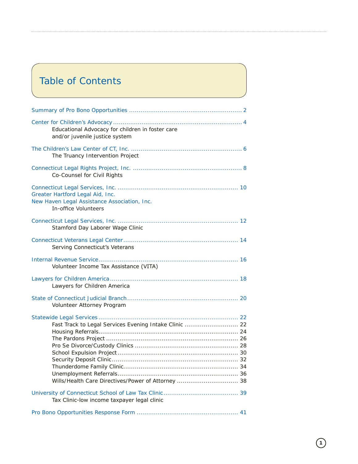# Table of Contents

| Educational Advocacy for children in foster care<br>and/or juvenile justice system                           |  |
|--------------------------------------------------------------------------------------------------------------|--|
| The Truancy Intervention Project                                                                             |  |
| Co-Counsel for Civil Rights                                                                                  |  |
| Greater Hartford Legal Aid, Inc.<br>New Haven Legal Assistance Association, Inc.<br>In-office Volunteers     |  |
| Stamford Day Laborer Wage Clinic                                                                             |  |
| Serving Connecticut's Veterans                                                                               |  |
| Volunteer Income Tax Assistance (VITA)                                                                       |  |
| Lawyers for Children America                                                                                 |  |
| Volunteer Attorney Program                                                                                   |  |
| Fast Track to Legal Services Evening Intake Clinic  22<br>Wills/Health Care Directives/Power of Attorney  38 |  |
| Tax Clinic-low income taxpayer legal clinic                                                                  |  |
|                                                                                                              |  |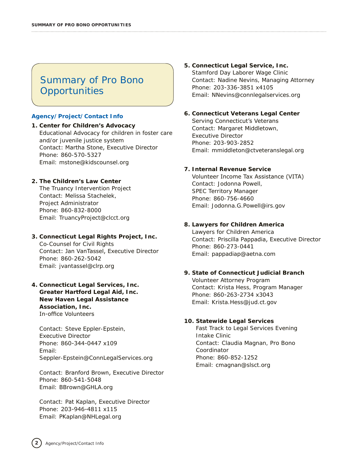# Summary of Pro Bono **Opportunities**

#### **Agency/Project/Contact Info**

#### **1. Center for Children's Advocacy** Educational Advocacy for children in foster care and/or juvenile justice system *Contact*: Martha Stone, Executive Director *Phone:* 860-570-5327 *Email:* mstone@kidscounsel.org

#### **2. The Children's Law Center**

The Truancy Intervention Project *Contact:* Melissa Stachelek, Project Administrator *Phone*: 860-832-8000 *Email:* TruancyProject@clcct.org

#### **3. Connecticut Legal Rights Project, Inc.** Co-Counsel for Civil Rights *Contact*: Jan VanTassel, Executive Director *Phone:* 860-262-5042 *Email:* jvantassel@clrp.org

#### **4. Connecticut Legal Services, Inc. Greater Hartford Legal Aid, Inc. New Haven Legal Assistance Association, Inc.** In-office Volunteers

*Contact:* Steve Eppler-Epstein, Executive Director *Phone:* 860-344-0447 x109 *Email:* Seppler-Epstein@ConnLegalServices.org

*Contact:* Branford Brown, Executive Director *Phone:* 860-541-5048 *Email:* BBrown@GHLA.org

*Contact:* Pat Kaplan, Executive Director *Phone:* 203-946-4811 x115 *Email:* PKaplan@NHLegal.org

#### **5. Connecticut Legal Service, Inc.** Stamford Day Laborer Wage Clinic *Contact:* Nadine Nevins, Managing Attorney *Phone:* 203-336-3851 x4105 *Email:* NNevins@connlegalservices.org

#### **6. Connecticut Veterans Legal Center**

Serving Connecticut's Veterans *Contact:* Margaret Middletown, Executive Director *Phone:* 203-903-2852 *Email:* mmiddleton@ctveteranslegal.org

#### **7. Internal Revenue Service**

Volunteer Income Tax Assistance (VITA) *Contact:* Jodonna Powell, SPEC Territory Manager *Phone:* 860-756-4660 *Email:* Jodonna.G.Powell@irs.gov

#### **8. Lawyers for Children America**

Lawyers for Children America *Contact:* Priscilla Pappadia, Executive Director *Phone:* 860-273-0441 *Email:* pappadiap@aetna.com

#### **9. State of Connecticut Judicial Branch** Volunteer Attorney Program *Contact:* Krista Hess, Program Manager *Phone:* 860-263-2734 x3043

#### **10. Statewide Legal Services**

*Email:* Krista.Hess@jud.ct.gov

Fast Track to Legal Services Evening Intake Clinic *Contact:* Claudia Magnan, Pro Bono Coordinator *Phone:* 860-852-1252 *Email:* cmagnan@slsct.org

**2**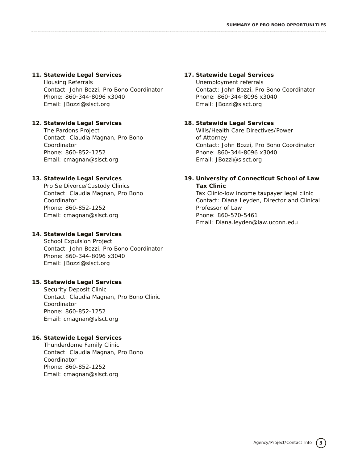#### **11. Statewide Legal Services**

Housing Referrals *Contact:* John Bozzi, Pro Bono Coordinator *Phone:* 860-344-8096 x3040 *Email:* JBozzi@slsct.org

#### **12. Statewide Legal Services**

The Pardons Project *Contact:* Claudia Magnan, Pro Bono Coordinator *Phone:* 860-852-1252 *Email:* cmagnan@slsct.org

#### **13. Statewide Legal Services**

Pro Se Divorce/Custody Clinics *Contact:* Claudia Magnan, Pro Bono Coordinator *Phone:* 860-852-1252 *Email:* cmagnan@slsct.org

#### **14. Statewide Legal Services**

School Expulsion Project *Contact:* John Bozzi, Pro Bono Coordinator *Phone:* 860-344-8096 x3040 *Email:* JBozzi@slsct.org

#### **15. Statewide Legal Services**

Security Deposit Clinic *Contact:* Claudia Magnan, Pro Bono Clinic Coordinator *Phone:* 860-852-1252 *Email:* cmagnan@slsct.org

#### **16. Statewide Legal Services**

Thunderdome Family Clinic *Contact:* Claudia Magnan, Pro Bono Coordinator *Phone:* 860-852-1252 *Email:* cmagnan@slsct.org

#### **17. Statewide Legal Services**

Unemployment referrals *Contact:* John Bozzi, Pro Bono Coordinator *Phone:* 860-344-8096 x3040 *Email:* JBozzi@slsct.org

#### **18. Statewide Legal Services**

Wills/Health Care Directives/Power of Attorney *Contact:* John Bozzi, Pro Bono Coordinator *Phone:* 860-344-8096 x3040 *Email:* JBozzi@slsct.org

#### **19. University of Connecticut School of Law Tax Clinic**

Tax Clinic-low income taxpayer legal clinic *Contact:* Diana Leyden, Director and Clinical Professor of Law *Phone:* 860-570-5461 *Email:* Diana.leyden@law.uconn.edu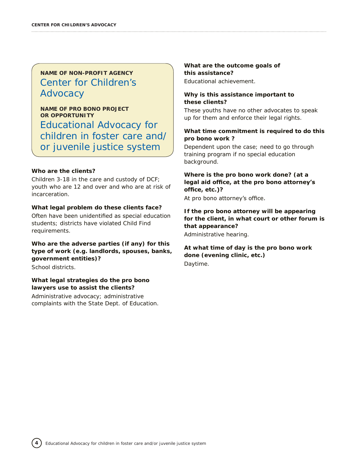# **NAME OF NON-PROFIT AGENCY** Center for Children's **Advocacy**

**NAME OF PRO BONO PROJECT OR OPPORTUNITY** Educational Advocacy for children in foster care and/ or juvenile justice system

#### **Who are the clients?**

Children 3-18 in the care and custody of DCF; youth who are 12 and over and who are at risk of incarceration.

#### **What legal problem do these clients face?**

Often have been unidentified as special education students; districts have violated Child Find requirements.

#### **Who are the adverse parties (if any) for this type of work (e.g. landlords, spouses, banks, government entities)?**

School districts.

**4**

#### **What legal strategies do the pro bono lawyers use to assist the clients?**

Administrative advocacy; administrative complaints with the State Dept. of Education. **What are the outcome goals of this assistance?** Educational achievement.

#### **Why is this assistance important to these clients?**

These youths have no other advocates to speak up for them and enforce their legal rights.

#### **What time commitment is required to do this pro bono work ?**

Dependent upon the case; need to go through training program if no special education background.

#### **Where is the pro bono work done? (at a legal aid office, at the pro bono attorney's office, etc.)?**

At pro bono attorney's office.

#### **If the pro bono attorney will be appearing for the client, in what court or other forum is that appearance?**

Administrative hearing.

#### **At what time of day is the pro bono work done (evening clinic, etc.)** Daytime.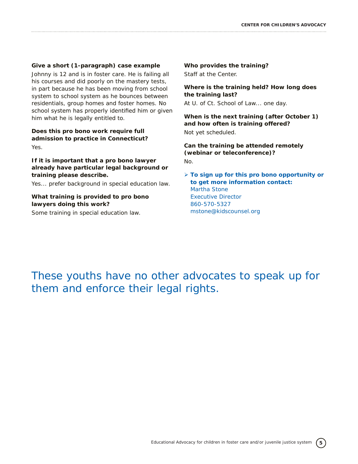#### **Give a short (1-paragraph) case example**

Johnny is 12 and is in foster care. He is failing all his courses and did poorly on the mastery tests, in part because he has been moving from school system to school system as he bounces between residentials, group homes and foster homes. No school system has properly identified him or given him what he is legally entitled to.

**Does this pro bono work require full admission to practice in Connecticut?** Yes.

#### **If it is important that a pro bono lawyer already have particular legal background or training please describe.**

Yes... prefer background in special education law.

#### **What training is provided to pro bono lawyers doing this work?**

Some training in special education law.

#### **Who provides the training?**

Staff at the Center.

**Where is the training held? How long does the training last?**

At U. of Ct. School of Law... one day.

**When is the next training (after October 1) and how often is training offered?** Not yet scheduled.

**Can the training be attended remotely (webinar or teleconference)?** No.

Ø **To sign up for this pro bono opportunity or to get more information contact:** Martha Stone Executive Director 860-570-5327 mstone@kidscounsel.org

# These youths have no other advocates to speak up for them and enforce their legal rights.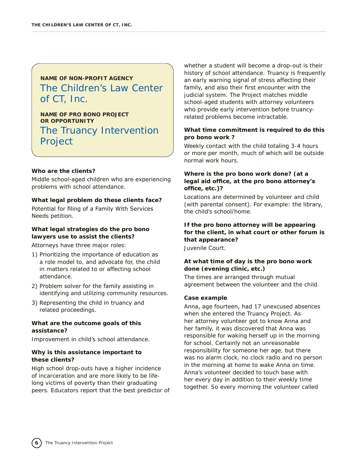# **NAME OF NON-PROFIT AGENCY** The Children's Law Center of CT, Inc.

**NAME OF PRO BONO PROJECT OR OPPORTUNITY** The Truancy Intervention Project

#### **Who are the clients?**

Middle school-aged children who are experiencing problems with school attendance.

#### **What legal problem do these clients face?**

Potential for filing of a Family With Services Needs petition.

#### **What legal strategies do the pro bono lawyers use to assist the clients?**

Attorneys have three major roles:

- 1) Prioritizing the importance of education as a role model to, and advocate for, the child in matters related to or affecting school attendance.
- 2) Problem solver for the family assisting in identifying and utilizing community resources.
- 3) Representing the child in truancy and related proceedings.

#### **What are the outcome goals of this assistance?**

Improvement in child's school attendance.

#### **Why is this assistance important to these clients?**

High school drop-outs have a higher incidence of incarceration and are more likely to be lifelong victims of poverty than their graduating peers. Educators report that the best predictor of whether a student will become a drop-out is their history of school attendance. Truancy is frequently an early warning signal of stress affecting their family, and also their first encounter with the judicial system. The Project matches middle school-aged students with attorney volunteers who provide early intervention before truancyrelated problems become intractable.

#### **What time commitment is required to do this pro bono work ?**

Weekly contact with the child totaling 3-4 hours or more per month, much of which will be outside normal work hours.

#### **Where is the pro bono work done? (at a legal aid office, at the pro bono attorney's office, etc.)?**

Locations are determined by volunteer and child (with parental consent). For example: the library, the child's school/home.

#### **If the pro bono attorney will be appearing for the client, in what court or other forum is that appearance?**

Juvenile Court.

#### **At what time of day is the pro bono work done (evening clinic, etc.)**

The times are arranged through mutual agreement between the volunteer and the child.

#### **Case example**

Anna, age fourteen, had 17 unexcused absences when she entered the Truancy Project. As her attorney volunteer got to know Anna and her family, it was discovered that Anna was responsible for waking herself up in the morning for school. Certainly not an unreasonable responsibility for someone her age, but there was no alarm clock, no clock radio and no person in the morning at home to wake Anna on time. Anna's volunteer decided to touch base with her every day in addition to their weekly time together. So every morning the volunteer called

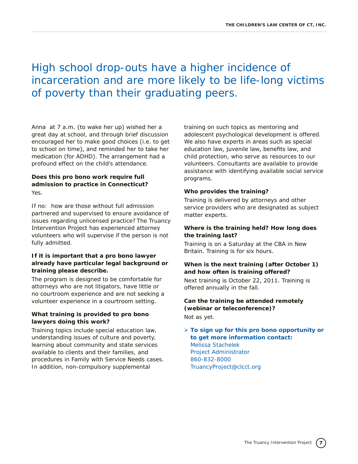# High school drop-outs have a higher incidence of incarceration and are more likely to be life-long victims of poverty than their graduating peers.

Anna at 7 a.m. (to wake her up) wished her a great day at school, and through brief discussion encouraged her to make good choices (i.e. to get to school on time), and reminded her to take her medication (for ADHD). The arrangement had a profound effect on the child's attendance.

#### **Does this pro bono work require full admission to practice in Connecticut?** Yes.

If no: how are those without full admission partnered and supervised to ensure avoidance of issues regarding unlicensed practice? The Truancy Intervention Project has experienced attorney volunteers who will supervise if the person is not fully admitted.

#### **If it is important that a pro bono lawyer already have particular legal background or training please describe.**

The program is designed to be comfortable for attorneys who are not litigators, have little or no courtroom experience and are not seeking a volunteer experience in a courtroom setting.

#### **What training is provided to pro bono lawyers doing this work?**

Training topics include special education law, understanding issues of culture and poverty, learning about community and state services available to clients and their families, and procedures in Family with Service Needs cases. In addition, non-compulsory supplemental

training on such topics as mentoring and adolescent psychological development is offered. We also have experts in areas such as special education law, juvenile law, benefits law, and child protection, who serve as resources to our volunteers. Consultants are available to provide assistance with identifying available social service programs.

#### **Who provides the training?**

Training is delivered by attorneys and other service providers who are designated as subject matter experts.

#### **Where is the training held? How long does the training last?**

Training is on a Saturday at the CBA in New Britain. Training is for six hours.

#### **When is the next training (after October 1) and how often is training offered?**

Next training is October 22, 2011. Training is offered annually in the fall.

### **Can the training be attended remotely (webinar or teleconference)?**

Not as yet.

#### Ø **To sign up for this pro bono opportunity or to get more information contact:** Melissa Stachelek Project Administrator 860-832-8000 TruancyProject@clcct.org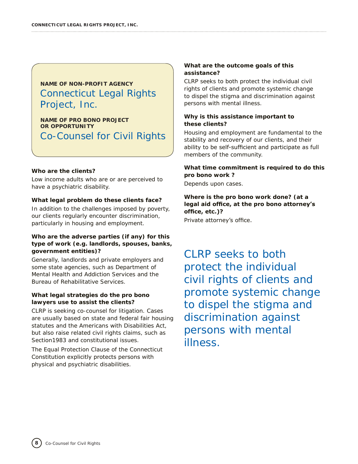# **NAME OF NON-PROFIT AGENCY** Connecticut Legal Rights Project, Inc.

**NAME OF PRO BONO PROJECT OR OPPORTUNITY** Co-Counsel for Civil Rights

#### **Who are the clients?**

Low income adults who are or are perceived to have a psychiatric disability.

#### **What legal problem do these clients face?**

In addition to the challenges imposed by poverty, our clients regularly encounter discrimination, particularly in housing and employment.

#### **Who are the adverse parties (if any) for this type of work (e.g. landlords, spouses, banks, government entities)?**

Generally, landlords and private employers and some state agencies, such as Department of Mental Health and Addiction Services and the Bureau of Rehabilitative Services.

#### **What legal strategies do the pro bono lawyers use to assist the clients?**

CLRP is seeking co-counsel for litigation. Cases are usually based on state and federal fair housing statutes and the Americans with Disabilities Act, but also raise related civil rights claims, such as Section1983 and constitutional issues.

The Equal Protection Clause of the Connecticut Constitution explicitly protects persons with physical and psychiatric disabilities.

#### **What are the outcome goals of this assistance?**

CLRP seeks to both protect the individual civil rights of clients and promote systemic change to dispel the stigma and discrimination against persons with mental illness.

#### **Why is this assistance important to these clients?**

Housing and employment are fundamental to the stability and recovery of our clients, and their ability to be self-sufficient and participate as full members of the community.

#### **What time commitment is required to do this pro bono work ?**

Depends upon cases.

#### **Where is the pro bono work done? (at a legal aid office, at the pro bono attorney's office, etc.)?**

Private attorney's office.

CLRP seeks to both protect the individual civil rights of clients and promote systemic change to dispel the stigma and discrimination against persons with mental illness.

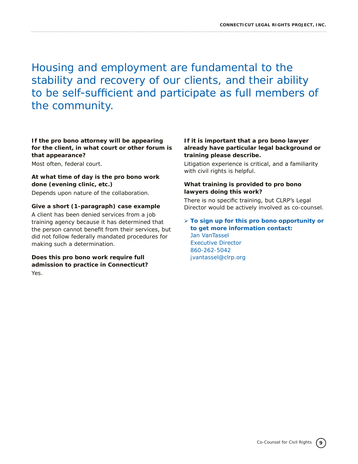Housing and employment are fundamental to the stability and recovery of our clients, and their ability to be self-sufficient and participate as full members of the community.

**If the pro bono attorney will be appearing for the client, in what court or other forum is that appearance?**

Most often, federal court.

#### **At what time of day is the pro bono work done (evening clinic, etc.)**

Depends upon nature of the collaboration.

#### **Give a short (1-paragraph) case example**

A client has been denied services from a job training agency because it has determined that the person cannot benefit from their services, but did not follow federally mandated procedures for making such a determination.

#### **Does this pro bono work require full admission to practice in Connecticut?** Yes.

#### **If it is important that a pro bono lawyer already have particular legal background or training please describe.**

Litigation experience is critical, and a familiarity with civil rights is helpful.

#### **What training is provided to pro bono lawyers doing this work?**

There is no specific training, but CLRP's Legal Director would be actively involved as co-counsel.

#### Ø **To sign up for this pro bono opportunity or to get more information contact:** Jan VanTassel Executive Director 860-262-5042 jvantassel@clrp.org

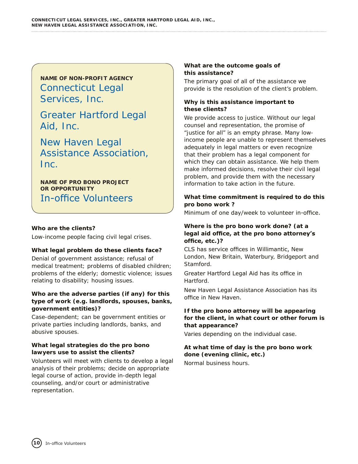**NAME OF NON-PROFIT AGENCY** Connecticut Legal Services, Inc.

Greater Hartford Legal Aid, Inc.

New Haven Legal Assistance Association, Inc.

**NAME OF PRO BONO PROJECT OR OPPORTUNITY** In-office Volunteers

#### **Who are the clients?**

Low-income people facing civil legal crises.

#### **What legal problem do these clients face?**

Denial of government assistance; refusal of medical treatment; problems of disabled children; problems of the elderly; domestic violence; issues relating to disability; housing issues.

#### **Who are the adverse parties (if any) for this type of work (e.g. landlords, spouses, banks, government entities)?**

Case-dependent; can be government entities or private parties including landlords, banks, and abusive spouses.

#### **What legal strategies do the pro bono lawyers use to assist the clients?**

Volunteers will meet with clients to develop a legal analysis of their problems; decide on appropriate legal course of action, provide in-depth legal counseling, and/or court or administrative representation.

#### **What are the outcome goals of this assistance?**

The primary goal of all of the assistance we provide is the resolution of the client's problem.

#### **Why is this assistance important to these clients?**

We provide access to justice. Without our legal counsel and representation, the promise of "justice for all" is an empty phrase. Many lowincome people are unable to represent themselves adequately in legal matters or even recognize that their problem has a legal component for which they can obtain assistance. We help them make informed decisions, resolve their civil legal problem, and provide them with the necessary information to take action in the future.

#### **What time commitment is required to do this pro bono work ?**

Minimum of one day/week to volunteer in-office.

#### **Where is the pro bono work done? (at a legal aid office, at the pro bono attorney's office, etc.)?**

CLS has service offices in Willimantic, New London, New Britain, Waterbury, Bridgeport and Stamford.

Greater Hartford Legal Aid has its office in Hartford.

New Haven Legal Assistance Association has its office in New Haven.

#### **If the pro bono attorney will be appearing for the client, in what court or other forum is that appearance?**

Varies depending on the individual case.

## **At what time of day is the pro bono work done (evening clinic, etc.)**

Normal business hours.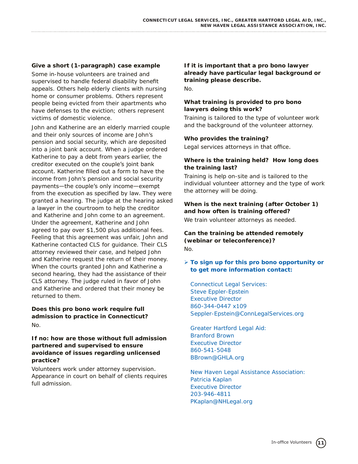#### **Give a short (1-paragraph) case example**

Some in-house volunteers are trained and supervised to handle federal disability benefit appeals. Others help elderly clients with nursing home or consumer problems. Others represent people being evicted from their apartments who have defenses to the eviction; others represent victims of domestic violence.

John and Katherine are an elderly married couple and their only sources of income are John's pension and social security, which are deposited into a joint bank account. When a judge ordered Katherine to pay a debt from years earlier, the creditor executed on the couple's joint bank account. Katherine filled out a form to have the income from John's pension and social security payments—the couple's only income—exempt from the execution as specified by law. They were granted a hearing. The judge at the hearing asked a lawyer in the courtroom to help the creditor and Katherine and John come to an agreement. Under the agreement, Katherine and John agreed to pay over \$1,500 plus additional fees. Feeling that this agreement was unfair, John and Katherine contacted CLS for guidance. Their CLS attorney reviewed their case, and helped John and Katherine request the return of their money. When the courts granted John and Katherine a second hearing, they had the assistance of their CLS attorney. The judge ruled in favor of John and Katherine and ordered that their money be returned to them.

#### **Does this pro bono work require full admission to practice in Connecticut?** No.

#### **If no: how are those without full admission partnered and supervised to ensure avoidance of issues regarding unlicensed practice?**

Volunteers work under attorney supervision. Appearance in court on behalf of clients requires full admission.

**If it is important that a pro bono lawyer already have particular legal background or training please describe.** 

No.

#### **What training is provided to pro bono lawyers doing this work?**

Training is tailored to the type of volunteer work and the background of the volunteer attorney.

#### **Who provides the training?**

Legal services attorneys in that office.

#### **Where is the training held? How long does the training last?**

Training is help on-site and is tailored to the individual volunteer attorney and the type of work the attorney will be doing.

#### **When is the next training (after October 1) and how often is training offered?**

We train volunteer attorneys as needed.

#### **Can the training be attended remotely (webinar or teleconference)?** No.

#### Ø **To sign up for this pro bono opportunity or to get more information contact:**

*Connecticut Legal Services:* Steve Eppler-Epstein Executive Director 860-344-0447 x109 Seppler-Epstein@ConnLegalServices.org

*Greater Hartford Legal Aid:* Branford Brown Executive Director 860-541-5048 BBrown@GHLA.org

*New Haven Legal Assistance Association:* Patricia Kaplan Executive Director 203-946-4811 PKaplan@NHLegal.org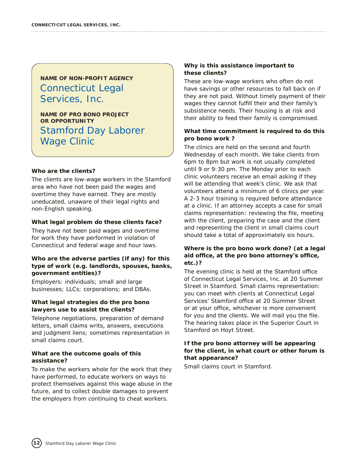# **NAME OF NON-PROFIT AGENCY** Connecticut Legal Services, Inc.

**NAME OF PRO BONO PROJECT OR OPPORTUNITY** Stamford Day Laborer Wage Clinic

#### **Who are the clients?**

The clients are low-wage workers in the Stamford area who have not been paid the wages and overtime they have earned. They are mostly uneducated, unaware of their legal rights and non-English speaking.

#### **What legal problem do these clients face?**

They have not been paid wages and overtime for work they have performed in violation of Connecticut and federal wage and hour laws.

#### **Who are the adverse parties (if any) for this type of work (e.g. landlords, spouses, banks, government entities)?**

Employers: individuals; small and large businesses; LLCs; corporations; and DBAs.

#### **What legal strategies do the pro bono lawyers use to assist the clients?**

Telephone negotiations, preparation of demand letters, small claims writs, answers, executions and judgment liens; sometimes representation in small claims court.

#### **What are the outcome goals of this assistance?**

To make the workers whole for the work that they have performed, to educate workers on ways to protect themselves against this wage abuse in the future, and to collect double damages to prevent the employers from continuing to cheat workers.

#### **Why is this assistance important to these clients?**

These are low-wage workers who often do not have savings or other resources to fall back on if they are not paid. Without timely payment of their wages they cannot fulfill their and their family's subsistence needs. Their housing is at risk and their ability to feed their family is compromised.

#### **What time commitment is required to do this pro bono work ?**

The clinics are held on the second and fourth Wednesday of each month. We take clients from 6pm to 8pm but work is not usually completed until 9 or 9:30 pm. The Monday prior to each clinic volunteers receive an email asking if they will be attending that week's clinic. We ask that volunteers attend a minimum of 6 clinics per year. A 2-3 hour training is required before attendance at a clinic. If an attorney accepts a case for small claims representation: reviewing the file, meeting with the client, preparing the case and the client and representing the client in small claims court should take a total of approximately six hours.

#### **Where is the pro bono work done? (at a legal aid office, at the pro bono attorney's office, etc.)?**

The evening clinic is held at the Stamford office of Connecticut Legal Services, Inc. at 20 Summer Street in Stamford. Small claims representation: you can meet with clients at Connecticut Legal Services' Stamford office at 20 Summer Street or at your office, whichever is more convenient for you and the clients. We will mail you the file. The hearing takes place in the Superior Court in Stamford on Hoyt Street.

#### **If the pro bono attorney will be appearing for the client, in what court or other forum is that appearance?**

Small claims court in Stamford.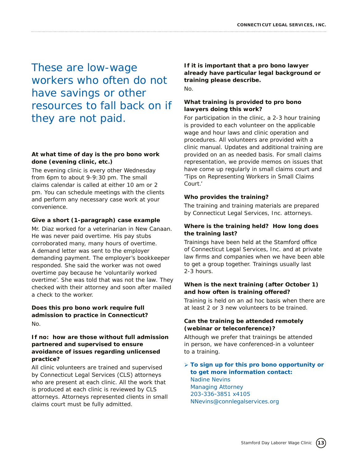These are low-wage workers who often do not have savings or other resources to fall back on if they are not paid.

#### **At what time of day is the pro bono work done (evening clinic, etc.)**

The evening clinic is every other Wednesday from 6pm to about 9-9:30 pm. The small claims calendar is called at either 10 am or 2 pm. You can schedule meetings with the clients and perform any necessary case work at your convenience.

#### **Give a short (1-paragraph) case example**

Mr. Diaz worked for a veterinarian in New Canaan. He was never paid overtime. His pay stubs corroborated many, many hours of overtime. A demand letter was sent to the employer demanding payment. The employer's bookkeeper responded. She said the worker was not owed overtime pay because he 'voluntarily worked overtime'. She was told that was not the law. They checked with their attorney and soon after mailed a check to the worker.

#### **Does this pro bono work require full admission to practice in Connecticut?** No.

#### **If no: how are those without full admission partnered and supervised to ensure avoidance of issues regarding unlicensed practice?**

All clinic volunteers are trained and supervised by Connecticut Legal Services (CLS) attorneys who are present at each clinic. All the work that is produced at each clinic is reviewed by CLS attorneys. Attorneys represented clients in small claims court must be fully admitted.

**If it is important that a pro bono lawyer already have particular legal background or training please describe.**  No.

#### **What training is provided to pro bono lawyers doing this work?**

For participation in the clinic, a 2-3 hour training is provided to each volunteer on the applicable wage and hour laws and clinic operation and procedures. All volunteers are provided with a clinic manual. Updates and additional training are provided on an as needed basis. For small claims representation, we provide memos on issues that have come up regularly in small claims court and 'Tips on Representing Workers in Small Claims Court.'

#### **Who provides the training?**

The training and training materials are prepared by Connecticut Legal Services, Inc. attorneys.

#### **Where is the training held? How long does the training last?**

Trainings have been held at the Stamford office of Connecticut Legal Services, Inc. and at private law firms and companies when we have been able to get a group together. Trainings usually last 2-3 hours.

#### **When is the next training (after October 1) and how often is training offered?**

Training is held on an ad hoc basis when there are at least 2 or 3 new volunteers to be trained.

#### **Can the training be attended remotely (webinar or teleconference)?**

Although we prefer that trainings be attended in person, we have conferenced-in a volunteer to a training.

#### Ø **To sign up for this pro bono opportunity or to get more information contact:** Nadine Nevins Managing Attorney 203-336-3851 x4105 NNevins@connlegalservices.org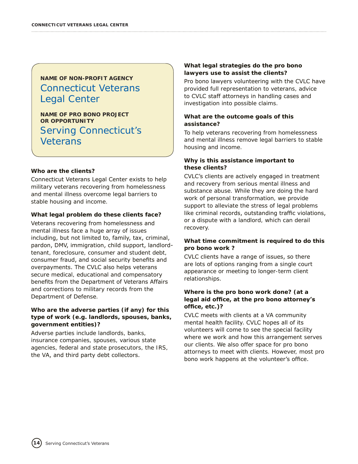# **NAME OF NON-PROFIT AGENCY** Connecticut Veterans Legal Center

**NAME OF PRO BONO PROJECT OR OPPORTUNITY** Serving Connecticut's Veterans

#### **Who are the clients?**

Connecticut Veterans Legal Center exists to help military veterans recovering from homelessness and mental illness overcome legal barriers to stable housing and income.

#### **What legal problem do these clients face?**

Veterans recovering from homelessness and mental illness face a huge array of issues including, but not limited to, family, tax, criminal, pardon, DMV, immigration, child support, landlordtenant, foreclosure, consumer and student debt, consumer fraud, and social security benefits and overpayments. The CVLC also helps veterans secure medical, educational and compensatory benefits from the Department of Veterans Affairs and corrections to military records from the Department of Defense.

#### **Who are the adverse parties (if any) for this type of work (e.g. landlords, spouses, banks, government entities)?**

Adverse parties include landlords, banks, insurance companies, spouses, various state agencies, federal and state prosecutors, the IRS, the VA, and third party debt collectors.

#### **What legal strategies do the pro bono lawyers use to assist the clients?**

Pro bono lawyers volunteering with the CVLC have provided full representation to veterans, advice to CVLC staff attorneys in handling cases and investigation into possible claims.

#### **What are the outcome goals of this assistance?**

To help veterans recovering from homelessness and mental illness remove legal barriers to stable housing and income.

#### **Why is this assistance important to these clients?**

CVLC's clients are actively engaged in treatment and recovery from serious mental illness and substance abuse. While they are doing the hard work of personal transformation, we provide support to alleviate the stress of legal problems like criminal records, outstanding traffic violations, or a dispute with a landlord, which can derail recovery.

#### **What time commitment is required to do this pro bono work ?**

CVLC clients have a range of issues, so there are lots of options ranging from a single court appearance or meeting to longer-term client relationships.

#### **Where is the pro bono work done? (at a legal aid office, at the pro bono attorney's office, etc.)?**

CVLC meets with clients at a VA community mental health facility. CVLC hopes all of its volunteers will come to see the special facility where we work and how this arrangement serves our clients. We also offer space for pro bono attorneys to meet with clients. However, most pro bono work happens at the volunteer's office.

**14**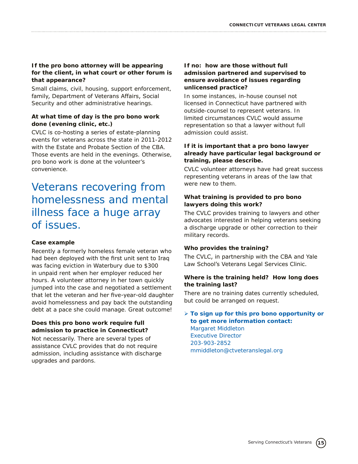#### **If the pro bono attorney will be appearing for the client, in what court or other forum is that appearance?**

Small claims, civil, housing, support enforcement, family, Department of Veterans Affairs, Social Security and other administrative hearings.

#### **At what time of day is the pro bono work done (evening clinic, etc.)**

CVLC is co-hosting a series of estate-planning events for veterans across the state in 2011-2012 with the Estate and Probate Section of the CBA. Those events are held in the evenings. Otherwise, pro bono work is done at the volunteer's convenience.

# Veterans recovering from homelessness and mental illness face a huge array of issues.

#### **Case example**

Recently a formerly homeless female veteran who had been deployed with the first unit sent to Iraq was facing eviction in Waterbury due to \$300 in unpaid rent when her employer reduced her hours. A volunteer attorney in her town quickly jumped into the case and negotiated a settlement that let the veteran and her five-year-old daughter avoid homelessness and pay back the outstanding debt at a pace she could manage. Great outcome!

#### **Does this pro bono work require full admission to practice in Connecticut?**

Not necessarily. There are several types of assistance CVLC provides that do not require admission, including assistance with discharge upgrades and pardons.

#### **If no: how are those without full admission partnered and supervised to ensure avoidance of issues regarding unlicensed practice?**

In some instances, in-house counsel not licensed in Connecticut have partnered with outside-counsel to represent veterans. In limited circumstances CVLC would assume representation so that a lawyer without full admission could assist.

#### **If it is important that a pro bono lawyer already have particular legal background or training, please describe.**

CVLC volunteer attorneys have had great success representing veterans in areas of the law that were new to them.

#### **What training is provided to pro bono lawyers doing this work?**

The CVLC provides training to lawyers and other advocates interested in helping veterans seeking a discharge upgrade or other correction to their military records.

#### **Who provides the training?**

The CVLC, in partnership with the CBA and Yale Law School's Veterans Legal Services Clinic.

#### **Where is the training held? How long does the training last?**

There are no training dates currently scheduled, but could be arranged on request.

#### Ø **To sign up for this pro bono opportunity or to get more information contact:**

Margaret Middleton Executive Director 203-903-2852 mmiddleton@ctveteranslegal.org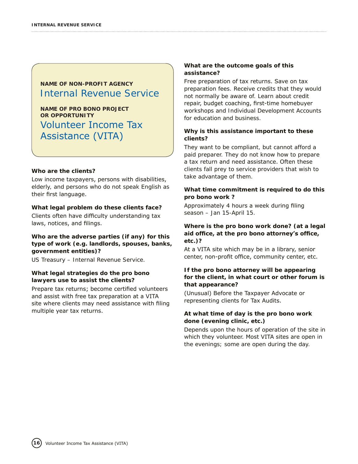### **NAME OF NON-PROFIT AGENCY** Internal Revenue Service

**NAME OF PRO BONO PROJECT OR OPPORTUNITY** Volunteer Income Tax Assistance (VITA)

#### **Who are the clients?**

Low income taxpayers, persons with disabilities, elderly, and persons who do not speak English as their first language.

#### **What legal problem do these clients face?**

Clients often have difficulty understanding tax laws, notices, and filings.

#### **Who are the adverse parties (if any) for this type of work (e.g. landlords, spouses, banks, government entities)?**

US Treasury – Internal Revenue Service.

#### **What legal strategies do the pro bono lawyers use to assist the clients?**

Prepare tax returns; become certified volunteers and assist with free tax preparation at a VITA site where clients may need assistance with filing multiple year tax returns.

#### **What are the outcome goals of this assistance?**

Free preparation of tax returns. Save on tax preparation fees. Receive credits that they would not normally be aware of. Learn about credit repair, budget coaching, first-time homebuyer workshops and Individual Development Accounts for education and business.

#### **Why is this assistance important to these clients?**

They want to be compliant, but cannot afford a paid preparer. They do not know how to prepare a tax return and need assistance. Often these clients fall prey to service providers that wish to take advantage of them.

#### **What time commitment is required to do this pro bono work ?**

Approximately 4 hours a week during filing season – Jan 15-April 15.

#### **Where is the pro bono work done? (at a legal aid office, at the pro bono attorney's office, etc.)?**

At a VITA site which may be in a library, senior center, non-profit office, community center, etc.

#### **If the pro bono attorney will be appearing for the client, in what court or other forum is that appearance?**

(Unusual) Before the Taxpayer Advocate or representing clients for Tax Audits.

#### **At what time of day is the pro bono work done (evening clinic, etc.)**

Depends upon the hours of operation of the site in which they volunteer. Most VITA sites are open in the evenings; some are open during the day.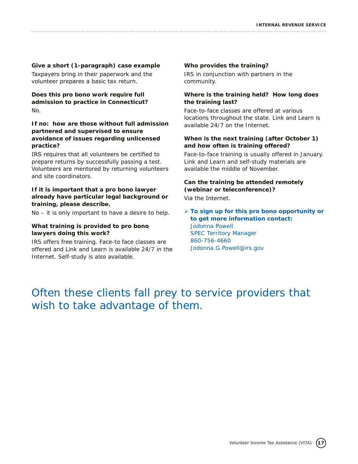### **Give a short (1-paragraph) case example**

Taxpayers bring in their paperwork and the volunteer prepares a basic tax return.

**Does this pro bono work require full admission to practice in Connecticut?** No.

#### **If no: how are those without full admission partnered and supervised to ensure avoidance of issues regarding unlicensed practice?**

IRS requires that all volunteers be certified to prepare returns by successfully passing a test. Volunteers are mentored by returning volunteers and site coordinators.

#### **If it is important that a pro bono lawyer already have particular legal background or training, please describe.**

No – it is only important to have a desire to help.

#### **What training is provided to pro bono lawyers doing this work?**

IRS offers free training. Face-to face classes are offered and Link and Learn is available 24/7 in the Internet. Self-study is also available.

#### **Who provides the training?**

IRS in conjunction with partners in the community.

#### **Where is the training held? How long does the training last?**

Face-to-face classes are offered at various locations throughout the state. Link and Learn is available 24/7 on the Internet.

#### **When is the next training (after October 1) and how often is training offered?**

Face-to-face training is usually offered in January. Link and Learn and self-study materials are available the middle of November.

#### **Can the training be attended remotely (webinar or teleconference)?** Via the Internet.

Ø **To sign up for this pro bono opportunity or to get more information contact:** Jodonna Powell SPEC Territory Manager 860-756-4660 Jodonna.G.Powell@irs.gov

# Often these clients fall prey to service providers that wish to take advantage of them.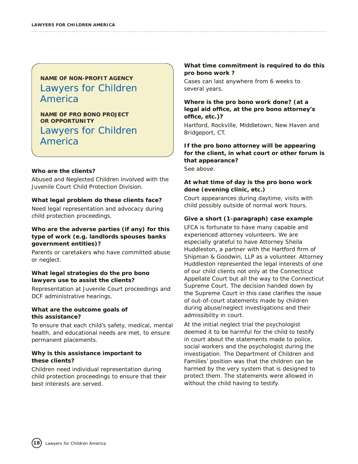# **NAME OF NON-PROFIT AGENCY** Lawyers for Children America

**NAME OF PRO BONO PROJECT OR OPPORTUNITY** Lawyers for Children America

#### **Who are the clients?**

Abused and Neglected Children involved with the Juvenile Court Child Protection Division.

#### **What legal problem do these clients face?**

Need legal representation and advocacy during child protection proceedings.

#### **Who are the adverse parties (if any) for this type of work (e.g. landlords spouses banks government entities)?**

Parents or caretakers who have committed abuse or neglect.

#### **What legal strategies do the pro bono lawyers use to assist the clients?**

Representation at Juvenile Court proceedings and DCF administrative hearings.

#### **What are the outcome goals of this assistance?**

To ensure that each child's safety, medical, mental health, and educational needs are met, to ensure permanent placements.

#### **Why is this assistance important to these clients?**

Children need individual representation during child protection proceedings to ensure that their best interests are served.

#### **What time commitment is required to do this pro bono work ?**

Cases can last anywhere from 6 weeks to several years.

#### **Where is the pro bono work done? (at a legal aid office, at the pro bono attorney's office, etc.)?**

Hartford, Rockville, Middletown, New Haven and Bridgeport, CT.

#### **If the pro bono attorney will be appearing for the client, in what court or other forum is that appearance?**

See above.

#### **At what time of day is the pro bono work done (evening clinic, etc.)**

Court appearances during daytime, visits with child possibly outside of normal work hours.

#### **Give a short (1-paragraph) case example**

LFCA is fortunate to have many capable and experienced attorney volunteers. We are especially grateful to have Attorney Sheila Huddleston, a partner with the Hartford firm of Shipman & Goodwin, LLP as a volunteer. Attorney Huddleston represented the legal interests of one of our child clients not only at the Connecticut Appellate Court but all the way to the Connecticut Supreme Court. The decision handed down by the Supreme Court in this case clarifies the issue of out-of-court statements made by children during abuse/neglect investigations and their admissibility in court.

At the initial neglect trial the psychologist deemed it to be harmful for the child to testify in court about the statements made to police, social workers and the psychologist during the investigation. The Department of Children and Families' position was that the children can be harmed by the very system that is designed to protect them. The statements were allowed in without the child having to testify.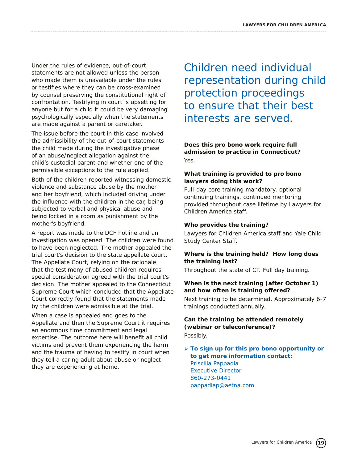Under the rules of evidence, out-of-court statements are not allowed unless the person who made them is unavailable under the rules or testifies where they can be cross-examined by counsel preserving the constitutional right of confrontation. Testifying in court is upsetting for anyone but for a child it could be very damaging psychologically especially when the statements are made against a parent or caretaker.

The issue before the court in this case involved the admissibility of the out-of-court statements the child made during the investigative phase of an abuse/neglect allegation against the child's custodial parent and whether one of the permissible exceptions to the rule applied.

Both of the children reported witnessing domestic violence and substance abuse by the mother and her boyfriend, which included driving under the influence with the children in the car, being subjected to verbal and physical abuse and being locked in a room as punishment by the mother's boyfriend.

A report was made to the DCF hotline and an investigation was opened. The children were found to have been neglected. The mother appealed the trial court's decision to the state appellate court. The Appellate Court, relying on the rationale that the testimony of abused children requires special consideration agreed with the trial court's decision. The mother appealed to the Connecticut Supreme Court which concluded that the Appellate Court correctly found that the statements made by the children were admissible at the trial.

When a case is appealed and goes to the Appellate and then the Supreme Court it requires an enormous time commitment and legal expertise. The outcome here will benefit all child victims and prevent them experiencing the harm and the trauma of having to testify in court when they tell a caring adult about abuse or neglect they are experiencing at home.

Children need individual representation during child protection proceedings to ensure that their best interests are served.

#### **Does this pro bono work require full admission to practice in Connecticut?** Yes.

#### **What training is provided to pro bono lawyers doing this work?**

Full-day core training mandatory, optional continuing trainings, continued mentoring provided throughout case lifetime by Lawyers for Children America staff.

#### **Who provides the training?**

Lawyers for Children America staff and Yale Child Study Center Staff.

#### **Where is the training held? How long does the training last?**

Throughout the state of CT. Full day training.

#### **When is the next training (after October 1) and how often is training offered?**

Next training to be determined. Approximately 6-7 trainings conducted annually.

#### **Can the training be attended remotely (webinar or teleconference)?** Possibly.

Ø **To sign up for this pro bono opportunity or to get more information contact:** Priscilla Pappadia Executive Director 860-273-0441 pappadiap@aetna.com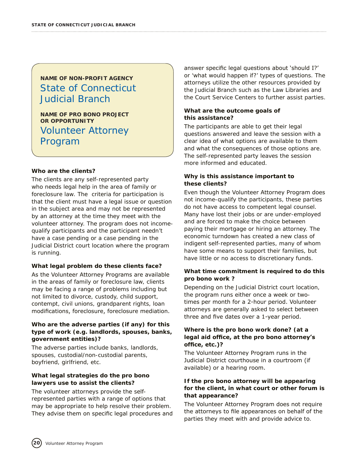# **NAME OF NON-PROFIT AGENCY** State of Connecticut Judicial Branch

**NAME OF PRO BONO PROJECT OR OPPORTUNITY** Volunteer Attorney Program

#### **Who are the clients?**

The clients are any self-represented party who needs legal help in the area of family or foreclosure law. The criteria for participation is that the client must have a legal issue or question in the subject area and may not be represented by an attorney at the time they meet with the volunteer attorney. The program does not incomequalify participants and the participant needn't have a case pending or a case pending in the Judicial District court location where the program is running.

#### **What legal problem do these clients face?**

As the Volunteer Attorney Programs are available in the areas of family or foreclosure law, clients may be facing a range of problems including but not limited to divorce, custody, child support, contempt, civil unions, grandparent rights, loan modifications, foreclosure, foreclosure mediation.

#### **Who are the adverse parties (if any) for this type of work (e.g. landlords, spouses, banks, government entities)?**

The adverse parties include banks, landlords, spouses, custodial/non-custodial parents, boyfriend, girlfriend, etc.

#### **What legal strategies do the pro bono lawyers use to assist the clients?**

The volunteer attorneys provide the selfrepresented parties with a range of options that may be appropriate to help resolve their problem. They advise them on specific legal procedures and answer specific legal questions about 'should I?' or 'what would happen if?' types of questions. The attorneys utilize the other resources provided by the Judicial Branch such as the Law Libraries and the Court Service Centers to further assist parties.

#### **What are the outcome goals of this assistance?**

The participants are able to get their legal questions answered and leave the session with a clear idea of what options are available to them and what the consequences of those options are. The self-represented party leaves the session more informed and educated.

#### **Why is this assistance important to these clients?**

Even though the Volunteer Attorney Program does not income-qualify the participants, these parties do not have access to competent legal counsel. Many have lost their jobs or are under-employed and are forced to make the choice between paying their mortgage or hiring an attorney. The economic turndown has created a new class of indigent self-represented parties, many of whom have some means to support their families, but have little or no access to discretionary funds.

#### **What time commitment is required to do this pro bono work ?**

Depending on the Judicial District court location, the program runs either once a week or twotimes per month for a 2-hour period. Volunteer attorneys are generally asked to select between three and five dates over a 1-year period.

#### **Where is the pro bono work done? (at a legal aid office, at the pro bono attorney's office, etc.)?**

The Volunteer Attorney Program runs in the Judicial District courthouse in a courtroom (if available) or a hearing room.

#### **If the pro bono attorney will be appearing for the client, in what court or other forum is that appearance?**

The Volunteer Attorney Program does not require the attorneys to file appearances on behalf of the parties they meet with and provide advice to.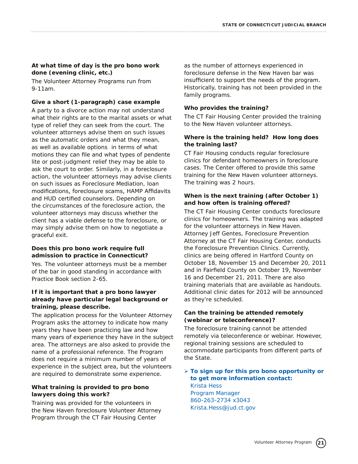#### **At what time of day is the pro bono work done (evening clinic, etc.)**

The Volunteer Attorney Programs run from 9-11am.

#### **Give a short (1-paragraph) case example**

A party to a divorce action may not understand what their rights are to the marital assets or what type of relief they can seek from the court. The volunteer attorneys advise them on such issues as the automatic orders and what they mean, as well as available options in terms of what motions they can file and what types of pendente lite or post-judgment relief they may be able to ask the court to order. Similarly, in a foreclosure action, the volunteer attorneys may advise clients on such issues as Foreclosure Mediation, loan modifications, foreclosure scams, HAMP Affidavits and HUD certified counselors. Depending on the circumstances of the foreclosure action, the volunteer attorneys may discuss whether the client has a viable defense to the foreclosure, or may simply advise them on how to negotiate a graceful exit.

#### **Does this pro bono work require full admission to practice in Connecticut?**

Yes. The volunteer attorneys must be a member of the bar in good standing in accordance with Practice Book section 2-65.

#### **If it is important that a pro bono lawyer already have particular legal background or training, please describe.**

The application process for the Volunteer Attorney Program asks the attorney to indicate how many years they have been practicing law and how many years of experience they have in the subject area. The attorneys are also asked to provide the name of a professional reference. The Program does not require a minimum number of years of experience in the subject area, but the volunteers are required to demonstrate some experience.

#### **What training is provided to pro bono lawyers doing this work?**

Training was provided for the volunteers in the New Haven foreclosure Volunteer Attorney Program through the CT Fair Housing Center

as the number of attorneys experienced in foreclosure defense in the New Haven bar was insufficient to support the needs of the program. Historically, training has not been provided in the family programs.

#### **Who provides the training?**

The CT Fair Housing Center provided the training to the New Haven volunteer attorneys.

#### **Where is the training held? How long does the training last?**

CT Fair Housing conducts regular foreclosure clinics for defendant homeowners in foreclosure cases. The Center offered to provide this same training for the New Haven volunteer attorneys. The training was 2 hours.

#### **When is the next training (after October 1) and how often is training offered?**

The CT Fair Housing Center conducts foreclosure clinics for homeowners. The training was adapted for the volunteer attorneys in New Haven. Attorney Jeff Gentes, Foreclosure Prevention Attorney at the CT Fair Housing Center, conducts the Foreclosure Prevention Clinics. Currently, clinics are being offered in Hartford County on October 18, November 15 and December 20, 2011 and in Fairfield County on October 19, November 16 and December 21, 2011. There are also training materials that are available as handouts. Additional clinic dates for 2012 will be announced as they're scheduled.

#### **Can the training be attended remotely (webinar or teleconference)?**

The foreclosure training cannot be attended remotely via teleconference or webinar. However, regional training sessions are scheduled to accommodate participants from different parts of the State.

#### Ø **To sign up for this pro bono opportunity or to get more information contact:** Krista Hess Program Manager 860-263-2734 x3043 Krista.Hess@jud.ct.gov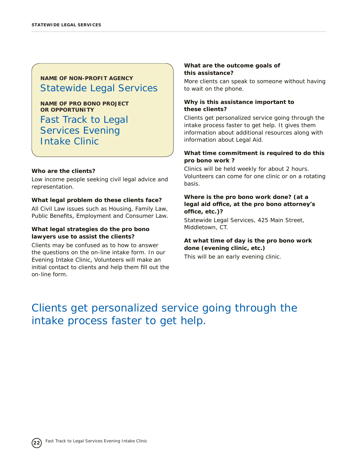**NAME OF PRO BONO PROJECT OR OPPORTUNITY**

Fast Track to Legal Services Evening Intake Clinic

#### **Who are the clients?**

Low income people seeking civil legal advice and representation.

#### **What legal problem do these clients face?**

All Civil Law issues such as Housing, Family Law, Public Benefits, Employment and Consumer Law.

#### **What legal strategies do the pro bono lawyers use to assist the clients?**

Clients may be confused as to how to answer the questions on the on-line intake form. In our Evening Intake Clinic, Volunteers will make an initial contact to clients and help them fill out the on-line form.

#### **What are the outcome goals of this assistance?**

More clients can speak to someone without having to wait on the phone.

#### **Why is this assistance important to these clients?**

Clients get personalized service going through the intake process faster to get help. It gives them information about additional resources along with information about Legal Aid.

#### **What time commitment is required to do this pro bono work ?**

Clinics will be held weekly for about 2 hours. Volunteers can come for one clinic or on a rotating basis.

#### **Where is the pro bono work done? (at a legal aid office, at the pro bono attorney's office, etc.)?**

Statewide Legal Services, 425 Main Street, Middletown, CT.

#### **At what time of day is the pro bono work done (evening clinic, etc.)**

This will be an early evening clinic.

# Clients get personalized service going through the intake process faster to get help.

**22**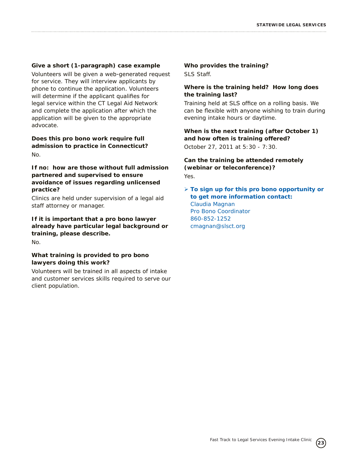#### **Give a short (1-paragraph) case example**

Volunteers will be given a web-generated request for service. They will interview applicants by phone to continue the application. Volunteers will determine if the applicant qualifies for legal service within the CT Legal Aid Network and complete the application after which the application will be given to the appropriate advocate.

**Does this pro bono work require full admission to practice in Connecticut?** No.

#### **If no: how are those without full admission partnered and supervised to ensure avoidance of issues regarding unlicensed practice?**

Clinics are held under supervision of a legal aid staff attorney or manager.

**If it is important that a pro bono lawyer already have particular legal background or training, please describe.**  No.

#### **What training is provided to pro bono lawyers doing this work?**

Volunteers will be trained in all aspects of intake and customer services skills required to serve our client population.

**Who provides the training?** SLS Staff.

#### **Where is the training held? How long does the training last?**

Training held at SLS office on a rolling basis. We can be flexible with anyone wishing to train during evening intake hours or daytime.

**When is the next training (after October 1) and how often is training offered?**

October 27, 2011 at 5:30 - 7:30.

**Can the training be attended remotely (webinar or teleconference)?** Yes.

Ø **To sign up for this pro bono opportunity or to get more information contact:** Claudia Magnan Pro Bono Coordinator 860-852-1252

cmagnan@slsct.org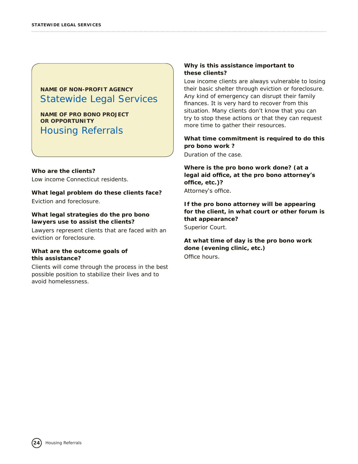**NAME OF PRO BONO PROJECT OR OPPORTUNITY** Housing Referrals

#### **Who are the clients?**

Low income Connecticut residents.

#### **What legal problem do these clients face?**

Eviction and foreclosure.

#### **What legal strategies do the pro bono lawyers use to assist the clients?**

Lawyers represent clients that are faced with an eviction or foreclosure.

#### **What are the outcome goals of this assistance?**

Clients will come through the process in the best possible position to stabilize their lives and to avoid homelessness.

#### **Why is this assistance important to these clients?**

Low income clients are always vulnerable to losing their basic shelter through eviction or foreclosure. Any kind of emergency can disrupt their family finances. It is very hard to recover from this situation. Many clients don't know that you can try to stop these actions or that they can request more time to gather their resources.

#### **What time commitment is required to do this pro bono work ?**

Duration of the case.

**Where is the pro bono work done? (at a legal aid office, at the pro bono attorney's office, etc.)?**

Attorney's office.

**If the pro bono attorney will be appearing for the client, in what court or other forum is that appearance?** Superior Court.

**At what time of day is the pro bono work done (evening clinic, etc.)** Office hours.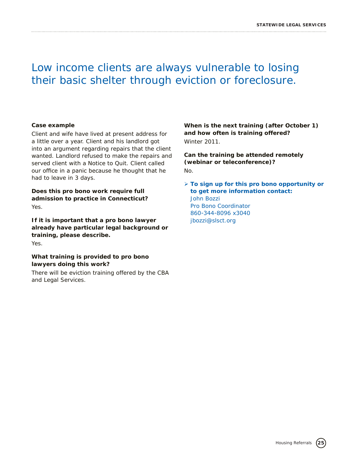# Low income clients are always vulnerable to losing their basic shelter through eviction or foreclosure.

#### **Case example**

Client and wife have lived at present address for a little over a year. Client and his landlord got into an argument regarding repairs that the client wanted. Landlord refused to make the repairs and served client with a Notice to Quit. Client called our office in a panic because he thought that he had to leave in 3 days.

**Does this pro bono work require full admission to practice in Connecticut?** Yes.

**If it is important that a pro bono lawyer already have particular legal background or training, please describe.**  Yes.

**What training is provided to pro bono lawyers doing this work?**

There will be eviction training offered by the CBA and Legal Services.

**When is the next training (after October 1) and how often is training offered?** Winter 2011.

**Can the training be attended remotely (webinar or teleconference)?** No.

Ø **To sign up for this pro bono opportunity or to get more information contact:** John Bozzi Pro Bono Coordinator 860-344-8096 x3040 jbozzi@slsct.org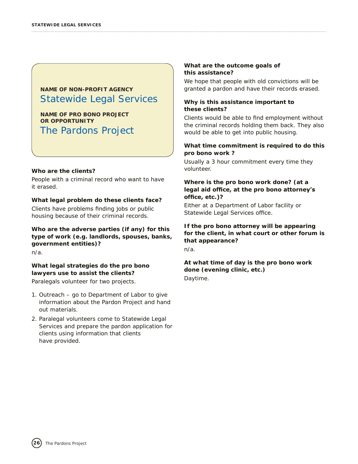**NAME OF PRO BONO PROJECT OR OPPORTUNITY** The Pardons Project

#### **Who are the clients?**

People with a criminal record who want to have it erased.

#### **What legal problem do these clients face?**

Clients have problems finding jobs or public housing because of their criminal records.

**Who are the adverse parties (if any) for this type of work (e.g. landlords, spouses, banks, government entities)?**  n/a.

**What legal strategies do the pro bono lawyers use to assist the clients?**

Paralegals volunteer for two projects.

- 1. Outreach go to Department of Labor to give information about the Pardon Project and hand out materials.
- 2. Paralegal volunteers come to Statewide Legal Services and prepare the pardon application for clients using information that clients have provided.

#### **What are the outcome goals of this assistance?**

We hope that people with old convictions will be granted a pardon and have their records erased.

#### **Why is this assistance important to these clients?**

Clients would be able to find employment without the criminal records holding them back. They also would be able to get into public housing.

#### **What time commitment is required to do this pro bono work ?**

Usually a 3 hour commitment every time they volunteer.

#### **Where is the pro bono work done? (at a legal aid office, at the pro bono attorney's office, etc.)?**

Either at a Department of Labor facility or Statewide Legal Services office.

#### **If the pro bono attorney will be appearing for the client, in what court or other forum is that appearance?**

n/a.

**At what time of day is the pro bono work done (evening clinic, etc.)** Daytime.

The Pardons Project **26**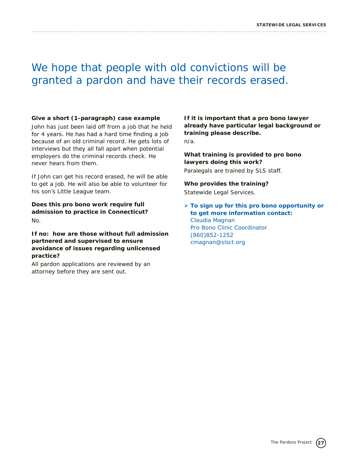# We hope that people with old convictions will be granted a pardon and have their records erased.

#### **Give a short (1-paragraph) case example**

John has just been laid off from a job that he held for 4 years. He has had a hard time finding a job because of an old criminal record. He gets lots of interviews but they all fall apart when potential employers do the criminal records check. He never hears from them.

If John can get his record erased, he will be able to get a job. He will also be able to volunteer for his son's Little League team.

**Does this pro bono work require full admission to practice in Connecticut?** No.

**If no: how are those without full admission partnered and supervised to ensure avoidance of issues regarding unlicensed practice?**

All pardon applications are reviewed by an attorney before they are sent out.

**If it is important that a pro bono lawyer already have particular legal background or training please describe.**  n/a.

**What training is provided to pro bono lawyers doing this work?**

Paralegals are trained by SLS staff.

#### **Who provides the training?**

Statewide Legal Services.

Ø **To sign up for this pro bono opportunity or to get more information contact:** Claudia Magnan Pro Bono Clinic Coordinator (860)852-1252 cmagnan@slsct.org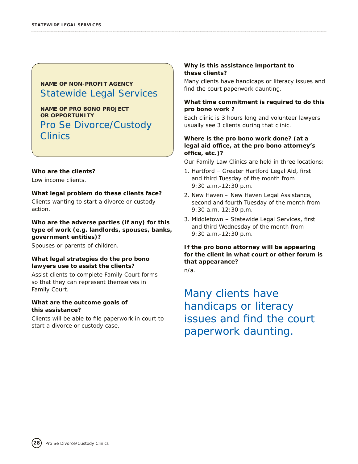**NAME OF PRO BONO PROJECT OR OPPORTUNITY** Pro Se Divorce/Custody **Clinics** 

#### **Who are the clients?**

Low income clients.

#### **What legal problem do these clients face?**

Clients wanting to start a divorce or custody action.

**Who are the adverse parties (if any) for this type of work (e.g. landlords, spouses, banks, government entities)?** 

Spouses or parents of children.

#### **What legal strategies do the pro bono lawyers use to assist the clients?**

Assist clients to complete Family Court forms so that they can represent themselves in Family Court.

#### **What are the outcome goals of this assistance?**

Clients will be able to file paperwork in court to start a divorce or custody case.

#### **Why is this assistance important to these clients?**

Many clients have handicaps or literacy issues and find the court paperwork daunting.

#### **What time commitment is required to do this pro bono work ?**

Each clinic is 3 hours long and volunteer lawyers usually see 3 clients during that clinic.

#### **Where is the pro bono work done? (at a legal aid office, at the pro bono attorney's office, etc.)?**

Our Family Law Clinics are held in three locations:

- 1. Hartford Greater Hartford Legal Aid, first and third Tuesday of the month from 9:30 a.m.-12:30 p.m.
- 2. New Haven New Haven Legal Assistance, second and fourth Tuesday of the month from 9:30 a.m.-12:30 p.m.
- 3. Middletown Statewide Legal Services, first and third Wednesday of the month from 9:30 a.m.-12:30 p.m.

#### **If the pro bono attorney will be appearing for the client in what court or other forum is that appearance?**

n/a.

Many clients have handicaps or literacy issues and find the court paperwork daunting.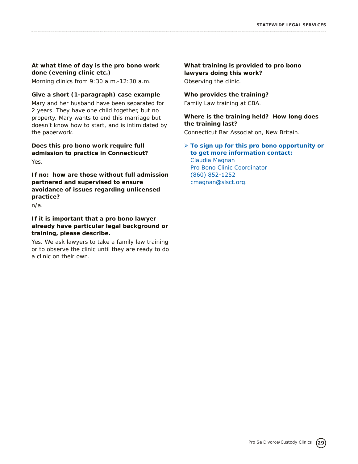#### **At what time of day is the pro bono work done (evening clinic etc.)**

Morning clinics from 9:30 a.m.-12:30 a.m.

#### **Give a short (1-paragraph) case example**

Mary and her husband have been separated for 2 years. They have one child together, but no property. Mary wants to end this marriage but doesn't know how to start, and is intimidated by the paperwork.

**Does this pro bono work require full admission to practice in Connecticut?** Yes.

**If no: how are those without full admission partnered and supervised to ensure avoidance of issues regarding unlicensed practice?**

n/a.

#### **If it is important that a pro bono lawyer already have particular legal background or training, please describe.**

Yes. We ask lawyers to take a family law training or to observe the clinic until they are ready to do a clinic on their own.

#### **What training is provided to pro bono lawyers doing this work?** Observing the clinic.

#### **Who provides the training?**

Family Law training at CBA.

#### **Where is the training held? How long does the training last?**

Connecticut Bar Association, New Britain.

#### Ø **To sign up for this pro bono opportunity or to get more information contact:** Claudia Magnan

Pro Bono Clinic Coordinator (860) 852-1252 cmagnan@slsct.org.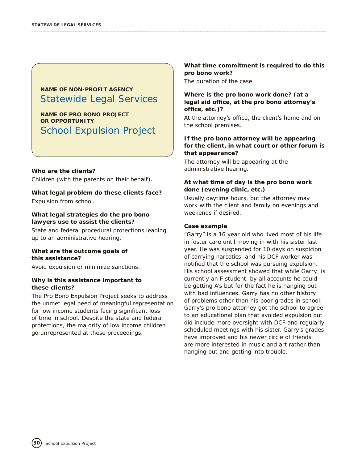**NAME OF PRO BONO PROJECT OR OPPORTUNITY** School Expulsion Project

#### **Who are the clients?**

Children (with the parents on their behalf).

#### **What legal problem do these clients face?**

Expulsion from school.

#### **What legal strategies do the pro bono lawyers use to assist the clients?**

State and federal procedural protections leading up to an administrative hearing.

#### **What are the outcome goals of this assistance?**

Avoid expulsion or minimize sanctions.

#### **Why is this assistance important to these clients?**

The Pro Bono Expulsion Project seeks to address the unmet legal need of meaningful representation for low income students facing significant loss of time in school. Despite the state and federal protections, the majority of low income children go unrepresented at these proceedings.

**What time commitment is required to do this pro bono work?**

The duration of the case.

#### **Where is the pro bono work done? (at a legal aid office, at the pro bono attorney's office, etc.)?**

At the attorney's office, the client's home and on the school premises.

#### **If the pro bono attorney will be appearing for the client, in what court or other forum is that appearance?**

The attorney will be appearing at the administrative hearing.

#### **At what time of day is the pro bono work done (evening clinic, etc.)**

Usually daytime hours, but the attorney may work with the client and family on evenings and weekends if desired.

#### **Case example**

"Garry" is a 16 year old who lived most of his life in foster care until moving in with his sister last year. He was suspended for 10 days on suspicion of carrying narcotics and his DCF worker was notified that the school was pursuing expulsion. His school assessment showed that while Garry is currently an F student, by all accounts he could be getting A's but for the fact he is hanging out with bad influences. Garry has no other history of problems other than his poor grades in school. Garry's pro bono attorney got the school to agree to an educational plan that avoided expulsion but did include more oversight with DCF and regularly scheduled meetings with his sister. Garry's grades have improved and his newer circle of friends are more interested in music and art rather than hanging out and getting into trouble.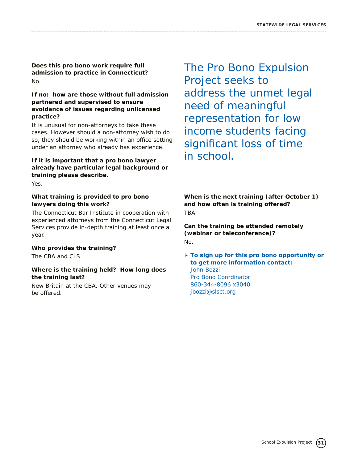**Does this pro bono work require full admission to practice in Connecticut?** No.

#### **If no: how are those without full admission partnered and supervised to ensure avoidance of issues regarding unlicensed practice?**

It is unusual for non-attorneys to take these cases. However should a non-attorney wish to do so, they should be working within an office setting under an attorney who already has experience.

#### **If it is important that a pro bono lawyer already have particular legal background or training please describe.**

Yes.

#### **What training is provided to pro bono lawyers doing this work?**

The Connecticut Bar Institute in cooperation with experienced attorneys from the Connecticut Legal Services provide in-depth training at least once a year.

#### **Who provides the training?**

The CBA and CLS.

#### **Where is the training held? How long does the training last?**

New Britain at the CBA. Other venues may be offered.

The Pro Bono Expulsion Project seeks to address the unmet legal need of meaningful representation for low income students facing significant loss of time in school.

**When is the next training (after October 1) and how often is training offered?** TBA.

**Can the training be attended remotely (webinar or teleconference)?** No.

#### Ø **To sign up for this pro bono opportunity or to get more information contact:** John Bozzi Pro Bono Coordinator 860-344-8096 x3040 jbozzi@slsct.org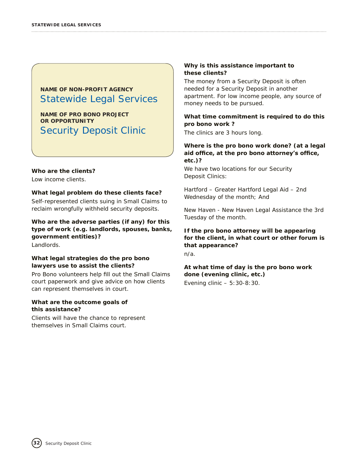**NAME OF PRO BONO PROJECT OR OPPORTUNITY** Security Deposit Clinic

#### **Who are the clients?**

Low income clients.

#### **What legal problem do these clients face?**

Self-represented clients suing in Small Claims to reclaim wrongfully withheld security deposits.

**Who are the adverse parties (if any) for this type of work (e.g. landlords, spouses, banks, government entities)?** 

Landlords.

#### **What legal strategies do the pro bono lawyers use to assist the clients?**

Pro Bono volunteers help fill out the Small Claims court paperwork and give advice on how clients can represent themselves in court.

#### **What are the outcome goals of this assistance?**

Clients will have the chance to represent themselves in Small Claims court.

#### **Why is this assistance important to these clients?**

The money from a Security Deposit is often needed for a Security Deposit in another apartment. For low income people, any source of money needs to be pursued.

#### **What time commitment is required to do this pro bono work ?**

The clinics are 3 hours long.

#### **Where is the pro bono work done? (at a legal aid office, at the pro bono attorney's office, etc.)?**

We have two locations for our Security Deposit Clinics:

Hartford – Greater Hartford Legal Aid – 2nd Wednesday of the month; And

New Haven - New Haven Legal Assistance the 3rd Tuesday of the month.

#### **If the pro bono attorney will be appearing for the client, in what court or other forum is that appearance?**

n/a.

**At what time of day is the pro bono work done (evening clinic, etc.)**

Evening clinic – 5:30-8:30.

Security Deposit Clinic

**32**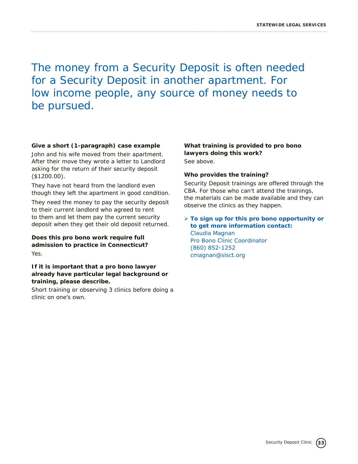The money from a Security Deposit is often needed for a Security Deposit in another apartment. For low income people, any source of money needs to be pursued.

#### **Give a short (1-paragraph) case example**

John and his wife moved from their apartment. After their move they wrote a letter to Landlord asking for the return of their security deposit (\$1200.00).

They have not heard from the landlord even though they left the apartment in good condition.

They need the money to pay the security deposit to their current landlord who agreed to rent to them and let them pay the current security deposit when they get their old deposit returned.

#### **Does this pro bono work require full admission to practice in Connecticut?** Yes.

#### **If it is important that a pro bono lawyer already have particular legal background or training, please describe.**

Short training or observing 3 clinics before doing a clinic on one's own.

#### **What training is provided to pro bono lawyers doing this work?** See above.

#### **Who provides the training?**

Security Deposit trainings are offered through the CBA. For those who can't attend the trainings, the materials can be made available and they can observe the clinics as they happen.

#### Ø **To sign up for this pro bono opportunity or to get more information contact:** Claudia Magnan Pro Bono Clinic Coordinator (860) 852-1252 cmagnan@slsct.org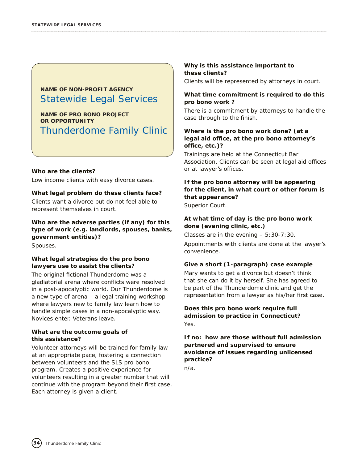**NAME OF PRO BONO PROJECT OR OPPORTUNITY** Thunderdome Family Clinic

#### **Who are the clients?**

Low income clients with easy divorce cases.

#### **What legal problem do these clients face?**

Clients want a divorce but do not feel able to represent themselves in court.

**Who are the adverse parties (if any) for this type of work (e.g. landlords, spouses, banks, government entities)?** 

Spouses.

#### **What legal strategies do the pro bono lawyers use to assist the clients?**

The original fictional Thunderdome was a gladiatorial arena where conflicts were resolved in a post-apocalyptic world. Our Thunderdome is a new type of arena – a legal training workshop where lawyers new to family law learn how to handle simple cases in a non-apocalyptic way. Novices enter. Veterans leave.

#### **What are the outcome goals of this assistance?**

Volunteer attorneys will be trained for family law at an appropriate pace, fostering a connection between volunteers and the SLS pro bono program. Creates a positive experience for volunteers resulting in a greater number that will continue with the program beyond their first case. Each attorney is given a client.

#### **Why is this assistance important to these clients?**

Clients will be represented by attorneys in court.

#### **What time commitment is required to do this pro bono work ?**

There is a commitment by attorneys to handle the case through to the finish.

#### **Where is the pro bono work done? (at a legal aid office, at the pro bono attorney's office, etc.)?**

Trainings are held at the Connecticut Bar Association. Clients can be seen at legal aid offices or at lawyer's offices.

#### **If the pro bono attorney will be appearing for the client, in what court or other forum is that appearance?**

Superior Court.

#### **At what time of day is the pro bono work done (evening clinic, etc.)**

Classes are in the evening  $-5:30-7:30$ .

Appointments with clients are done at the lawyer's convenience.

#### **Give a short (1-paragraph) case example**

Mary wants to get a divorce but doesn't think that she can do it by herself. She has agreed to be part of the Thunderdome clinic and get the representation from a lawyer as his/her first case.

#### **Does this pro bono work require full admission to practice in Connecticut?** Yes.

**If no: how are those without full admission partnered and supervised to ensure avoidance of issues regarding unlicensed practice?**

n/a.

**34**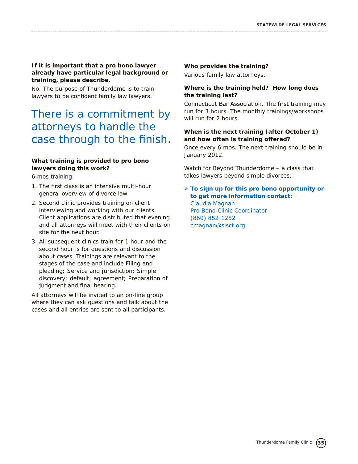#### **If it is important that a pro bono lawyer already have particular legal background or training, please describe.**

No. The purpose of Thunderdome is to train lawyers to be confident family law lawyers.

# There is a commitment by attorneys to handle the case through to the finish.

#### **What training is provided to pro bono lawyers doing this work?**

6 mos training.

- 1. The first class is an intensive multi-hour general overview of divorce law.
- 2. Second clinic provides training on client interviewing and working with our clients. Client applications are distributed that evening and all attorneys will meet with their clients on site for the next hour.
- 3. All subsequent clinics train for 1 hour and the second hour is for questions and discussion about cases. Trainings are relevant to the stages of the case and include Filing and pleading; Service and jurisdiction; Simple discovery; default; agreement; Preparation of judgment and final hearing.

All attorneys will be invited to an on-line group where they can ask questions and talk about the cases and all entries are sent to all participants.

#### **Who provides the training?**

Various family law attorneys.

#### **Where is the training held? How long does the training last?**

Connecticut Bar Association. The first training may run for 3 hours. The monthly trainings/workshops will run for 2 hours.

#### **When is the next training (after October 1) and how often is training offered?**

Once every 6 mos. The next training should be in January 2012.

Watch for Beyond Thunderdome – a class that takes lawyers beyond simple divorces.

Ø **To sign up for this pro bono opportunity or to get more information contact:** Claudia Magnan Pro Bono Clinic Coordinator (860) 852-1252

cmagnan@slsct.org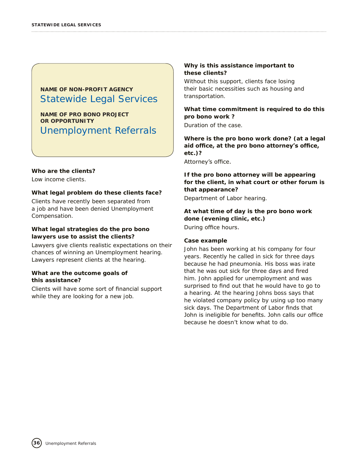**NAME OF PRO BONO PROJECT OR OPPORTUNITY** Unemployment Referrals

#### **Who are the clients?**

Low income clients.

#### **What legal problem do these clients face?**

Clients have recently been separated from a job and have been denied Unemployment Compensation.

#### **What legal strategies do the pro bono lawyers use to assist the clients?**

Lawyers give clients realistic expectations on their chances of winning an Unemployment hearing. Lawyers represent clients at the hearing.

#### **What are the outcome goals of this assistance?**

Clients will have some sort of financial support while they are looking for a new job.

#### **Why is this assistance important to these clients?**

Without this support, clients face losing their basic necessities such as housing and transportation.

#### **What time commitment is required to do this pro bono work ?**

Duration of the case.

**Where is the pro bono work done? (at a legal aid office, at the pro bono attorney's office, etc.)?**

Attorney's office.

#### **If the pro bono attorney will be appearing for the client, in what court or other forum is that appearance?**

Department of Labor hearing.

### **At what time of day is the pro bono work done (evening clinic, etc.)**

During office hours.

#### **Case example**

John has been working at his company for four years. Recently he called in sick for three days because he had pneumonia. His boss was irate that he was out sick for three days and fired him. John applied for unemployment and was surprised to find out that he would have to go to a hearing. At the hearing Johns boss says that he violated company policy by using up too many sick days. The Department of Labor finds that John is ineligible for benefits. John calls our office because he doesn't know what to do.

**36**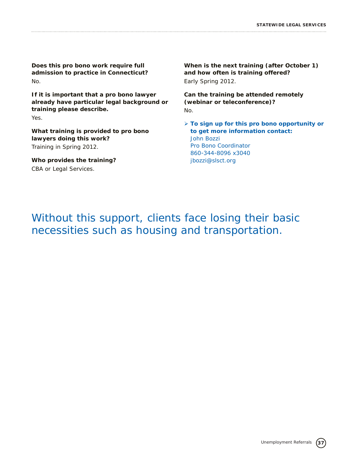**Does this pro bono work require full admission to practice in Connecticut?** No.

**If it is important that a pro bono lawyer already have particular legal background or training please describe.**  Yes.

**What training is provided to pro bono lawyers doing this work?** Training in Spring 2012.

**Who provides the training?** CBA or Legal Services.

**When is the next training (after October 1) and how often is training offered?** Early Spring 2012.

**Can the training be attended remotely (webinar or teleconference)?** No.

Ø **To sign up for this pro bono opportunity or to get more information contact:** John Bozzi Pro Bono Coordinator 860-344-8096 x3040 jbozzi@slsct.org

Without this support, clients face losing their basic necessities such as housing and transportation.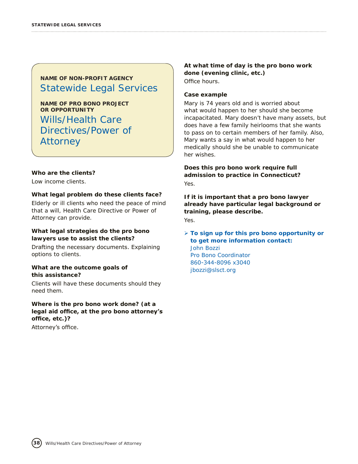**NAME OF PRO BONO PROJECT OR OPPORTUNITY** Wills/Health Care Directives/Power of Attorney

#### **Who are the clients?**

Low income clients.

#### **What legal problem do these clients face?**

Elderly or ill clients who need the peace of mind that a will, Health Care Directive or Power of Attorney can provide.

#### **What legal strategies do the pro bono lawyers use to assist the clients?**

Drafting the necessary documents. Explaining options to clients.

#### **What are the outcome goals of this assistance?**

Clients will have these documents should they need them.

#### **Where is the pro bono work done? (at a legal aid office, at the pro bono attorney's office, etc.)?**

Attorney's office.

**38**

#### **At what time of day is the pro bono work done (evening clinic, etc.)** Office hours.

#### **Case example**

Mary is 74 years old and is worried about what would happen to her should she become incapacitated. Mary doesn't have many assets, but does have a few family heirlooms that she wants to pass on to certain members of her family. Also, Mary wants a say in what would happen to her medically should she be unable to communicate her wishes.

**Does this pro bono work require full admission to practice in Connecticut?** Yes.

**If it is important that a pro bono lawyer already have particular legal background or training, please describe.**  Yes.

Ø **To sign up for this pro bono opportunity or to get more information contact:** John Bozzi Pro Bono Coordinator 860-344-8096 x3040 jbozzi@slsct.org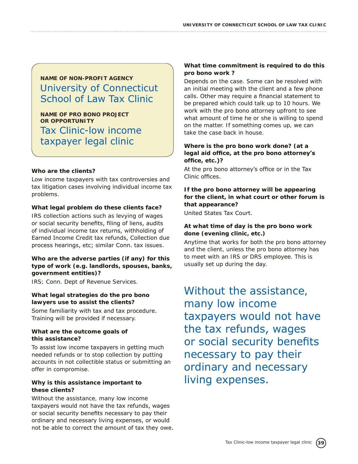# **NAME OF NON-PROFIT AGENCY** University of Connecticut School of Law Tax Clinic

**NAME OF PRO BONO PROJECT OR OPPORTUNITY** Tax Clinic-low income taxpayer legal clinic

#### **Who are the clients?**

Low income taxpayers with tax controversies and tax litigation cases involving individual income tax problems.

#### **What legal problem do these clients face?**

IRS collection actions such as levying of wages or social security benefits, filing of liens, audits of individual income tax returns, withholding of Earned Income Credit tax refunds, Collection due process hearings, etc; similar Conn. tax issues.

#### **Who are the adverse parties (if any) for this type of work (e.g. landlords, spouses, banks, government entities)?**

IRS; Conn. Dept of Revenue Services.

#### **What legal strategies do the pro bono lawyers use to assist the clients?**

Some familiarity with tax and tax procedure. Training will be provided if necessary.

#### **What are the outcome goals of this assistance?**

To assist low income taxpayers in getting much needed refunds or to stop collection by putting accounts in not collectible status or submitting an offer in compromise.

#### **Why is this assistance important to these clients?**

Without the assistance, many low income taxpayers would not have the tax refunds, wages or social security benefits necessary to pay their ordinary and necessary living expenses, or would not be able to correct the amount of tax they owe.

#### **What time commitment is required to do this pro bono work ?**

Depends on the case. Some can be resolved with an initial meeting with the client and a few phone calls. Other may require a financial statement to be prepared which could talk up to 10 hours. We work with the pro bono attorney upfront to see what amount of time he or she is willing to spend on the matter. If something comes up, we can take the case back in house.

#### **Where is the pro bono work done? (at a legal aid office, at the pro bono attorney's office, etc.)?**

At the pro bono attorney's office or in the Tax Clinic offices.

**If the pro bono attorney will be appearing for the client, in what court or other forum is that appearance?**

United States Tax Court.

#### **At what time of day is the pro bono work done (evening clinic, etc.)**

Anytime that works for both the pro bono attorney and the client, unless the pro bono attorney has to meet with an IRS or DRS employee. This is usually set up during the day.

# Without the assistance, many low income taxpayers would not have the tax refunds, wages or social security benefits necessary to pay their ordinary and necessary living expenses.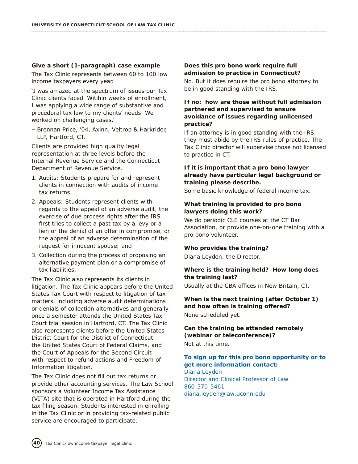#### **Give a short (1-paragraph) case example**

The Tax Clinic represents between 60 to 100 low income taxpayers every year.

'I was amazed at the spectrum of issues our Tax Clinic clients faced. Witihin weeks of enrollment, I was applying a wide range of substantive and procedural tax law to my clients' needs. We worked on challenging cases.'

– Brennan Price, '04, Axinn, Veltrop & Harkrider, LLP, Hartford, CT.

Clients are provided high quality legal representation at three levels before the Internal Revenue Service and the Connecticut Department of Revenue Service.

- 1. Audits: Students prepare for and represent clients in connection with audits of income tax returns.
- 2. Appeals: Students represent clients with regards to the appeal of an adverse audit, the exercise of due process rights after the IRS first tries to collect a past tax by a levy or a lien or the denial of an offer in compromise, or the appeal of an adverse determination of the request for innocent spouse; and
- 3. Collection during the process of proposing an alternative payment plan or a compromise of tax liabilities.

The Tax Clinic also represents its clients in litigation. The Tax Clinic appears before the United States Tax Court with respect to litigation of tax matters, including adverse audit determinations or denials of collection alternatives and generally once a semester attends the United States Tax Court trial session in Hartford, CT. The Tax Clinic also represents clients before the United States District Court for the District of Connecticut, the United States Court of Federal Claims, and the Court of Appeals for the Second Circuit with respect to refund actions and Freedom of Information litigation.

The Tax Clinic does not fill out tax returns or provide other accounting services. The Law School sponsors a Volunteer Income Tax Assistance (VITA) site that is operated in Hartford during the tax filing season. Students interested in enrolling in the Tax Clinic or in providing tax-related public service are encouraged to participate.

#### **Does this pro bono work require full admission to practice in Connecticut?**

No. But it does require the pro bono attorney to be in good standing with the IRS.

#### **If no: how are those without full admission partnered and supervised to ensure avoidance of issues regarding unlicensed practice?**

If an attorney is in good standing with the IRS, they must abide by the IRS rules of practice. The Tax Clinic director will supervise those not licensed to practice in CT.

#### **If it is important that a pro bono lawyer already have particular legal background or training please describe.**

Some basic knowledge of federal income tax.

#### **What training is provided to pro bono lawyers doing this work?**

We do periodic CLE courses at the CT Bar Association, or provide one-on-one training with a pro bono volunteer.

#### **Who provides the training?**

Diana Leyden, the Director.

#### **Where is the training held? How long does the training last?**

Usually at the CBA offices in New Britain, CT.

#### **When is the next training (after October 1) and how often is training offered?** None scheduled yet.

#### **Can the training be attended remotely (webinar or teleconference)?**

Not at this time.

#### **To sign up for this pro bono opportunity or to get more information contact:**

Diana Leyden Director and Clinical Professor of Law 860-570-5461 diana.leyden@law.uconn.edu

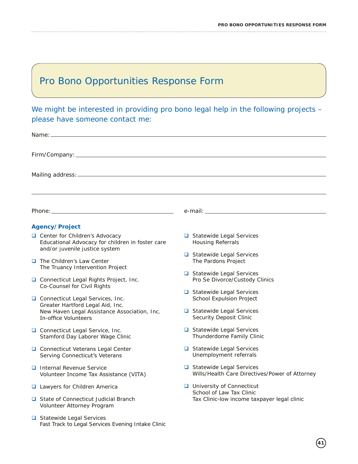# Pro Bono Opportunities Response Form

We might be interested in providing pro bono legal help in the following projects please have someone contact me:

| Agency/Project                                                                                                       |                                                                            |  |  |  |
|----------------------------------------------------------------------------------------------------------------------|----------------------------------------------------------------------------|--|--|--|
| Center for Children's Advocacy<br>Educational Advocacy for children in foster care<br>and/or juvenile justice system | Statewide Legal Services<br><b>Housing Referrals</b>                       |  |  |  |
| $\Box$ The Children's Law Center<br>The Truancy Intervention Project                                                 | Statewide Legal Services<br>The Pardons Project                            |  |  |  |
| □ Connecticut Legal Rights Project, Inc.<br>Co-Counsel for Civil Rights                                              | Statewide Legal Services<br>Pro Se Divorce/Custody Clinics                 |  |  |  |
| Connecticut Legal Services, Inc.<br>Greater Hartford Legal Aid, Inc.                                                 | Statewide Legal Services<br>School Expulsion Project                       |  |  |  |
| New Haven Legal Assistance Association, Inc.<br>In-office Volunteers                                                 | Statewide Legal Services<br><b>Security Deposit Clinic</b>                 |  |  |  |
| Connecticut Legal Service, Inc.<br>Stamford Day Laborer Wage Clinic                                                  | Statewide Legal Services<br>Thunderdome Family Clinic                      |  |  |  |
| □ Connecticut Veterans Legal Center<br>Serving Connecticut's Veterans                                                | Statewide Legal Services<br>Unemployment referrals                         |  |  |  |
| <b>Q</b> Internal Revenue Service<br>Volunteer Income Tax Assistance (VITA)                                          | Statewide Legal Services<br>Wills/Health Care Directives/Power of Attorney |  |  |  |
| □ Lawyers for Children America                                                                                       | $\Box$ University of Connecticut<br>School of Law Tax Clinic               |  |  |  |
| State of Connecticut Judicial Branch<br>Volunteer Attorney Program                                                   | Tax Clinic-low income taxpayer legal clinic                                |  |  |  |
| Statewide Legal Services<br>Fast Track to Legal Services Evening Intake Clinic                                       |                                                                            |  |  |  |